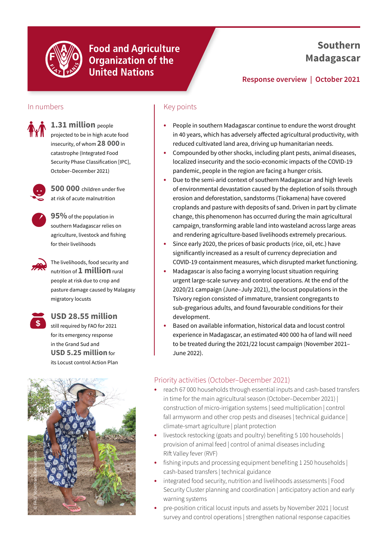

**Food and Agriculture Organization of the United Nations** 

## **Southern Madagascar**

### **Response overview | October 2021**

#### In numbers



**1.31 million** people projected to be in high acute food insecurity, of whom **28 000** in catastrophe (Integrated Food Security Phase Classification [IPC], October–December 2021)



**500 000** children under five at risk of acute malnutrition



**95%** of the population in southern Madagascar relies on agriculture, livestock and fishing for their livelihoods

The livelihoods, food security and nutrition of **1 million** rural people at risk due to crop and pasture damage caused by Malagasy migratory locusts



### **USD 28.55 million**

still required by FAO for 2021 for its emergency response in the Grand Sud and **USD 5.25 million** for its Locust control Action Plan



#### Key points

- **•** People in southern Madagascar continue to endure the worst drought in 40 years, which has adversely affected agricultural productivity, with reduced cultivated land area, driving up humanitarian needs.
- **•** Compounded by other shocks, including plant pests, animal diseases, localized insecurity and the socio-economic impacts of the COVID-19 pandemic, people in the region are facing a hunger crisis.
- **•** Due to the semi-arid context of southern Madagascar and high levels of environmental devastation caused by the depletion of soils through erosion and deforestation, sandstorms (Tiokamena) have covered croplands and pasture with deposits of sand. Driven in part by climate change, this phenomenon has occurred during the main agricultural campaign, transforming arable land into wasteland across large areas and rendering agriculture-based livelihoods extremely precarious.
- **•** Since early 2020, the prices of basic products (rice, oil, etc.) have significantly increased as a result of currency depreciation and COVID-19 containment measures, which disrupted market functioning.
- **•** Madagascar is also facing a worrying locust situation requiring urgent large-scale survey and control operations. At the end of the 2020/21 campaign (June–July 2021), the locust populations in the Tsivory region consisted of immature, transient congregants to sub-gregarious adults, and found favourable conditions for their development.
- **•** Based on available information, historical data and locust control experience in Madagascar, an estimated 400 000 ha of land will need to be treated during the 2021/22 locust campaign (November 2021– June 2022).

#### Priority activities (October–December 2021)

- **•** reach 67 000 households through essential inputs and cash-based transfers in time for the main agricultural season (October–December 2021) | construction of micro-irrigation systems | seed multiplication | control fall armyworm and other crop pests and diseases | technical guidance | climate-smart agriculture | plant protection
- **•** livestock restocking (goats and poultry) benefiting 5 100 households | provision of animal feed | control of animal diseases including Rift Valley fever (RVF)
- **•** fishing inputs and processing equipment benefiting 1 250 households | cash-based transfers | technical guidance
- **•** integrated food security, nutrition and livelihoods assessments | Food Security Cluster planning and coordination | anticipatory action and early warning systems
- **•** pre-position critical locust inputs and assets by November 2021 | locust survey and control operations | strengthen national response capacities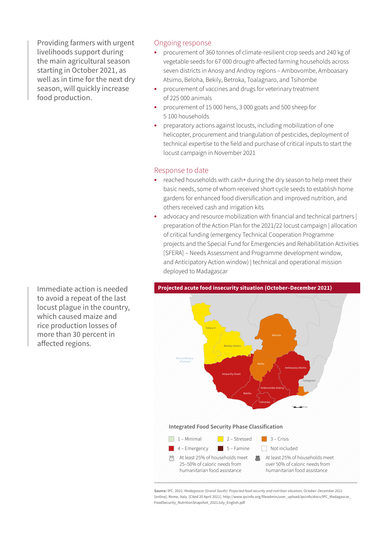Providing farmers with urgent livelihoods support during the main agricultural season starting in October 2021, as well as in time for the next dry season, will quickly increase food production.

#### Ongoing response

- **•** procurement of 360 tonnes of climate-resilient crop seeds and 240 kg of vegetable seeds for 67 000 drought-affected farming households across seven districts in Anosy and Androy regions – Ambovombe, Amboasary Atsimo, Beloha, Bekily, Betroka, Toalagnaro, and Tsihombe
- **•** procurement of vaccines and drugs for veterinary treatment of 225 000 animals
- **•** procurement of 15 000 hens, 3 000 goats and 500 sheep for 5 100 households
- **•** preparatory actions against locusts, including mobilization of one helicopter, procurement and triangulation of pesticides, deployment of technical expertise to the field and purchase of critical inputs to start the locust campaign in November 2021

#### Response to date

- **•** reached households with cash+ during the dry season to help meet their basic needs, some of whom received short cycle seeds to establish home gardens for enhanced food diversification and improved nutrition, and others received cash and irrigation kits
- **•** advocacy and resource mobilization with financial and technical partners | preparation of the Action Plan for the 2021/22 locust campaign | allocation of critical funding (emergency Technical Cooperation Programme projects and the Special Fund for Emergencies and Rehabilitation Activities [SFERA] – Needs Assessment and Programme development window, and Anticipatory Action window) | technical and operational mission deployed to Madagascar



Source: IPC. 2021. Madagascar (Grand South): Projected food security and nutrition situation, October-December 2021 [online]. Rome, Italy. [Cited 20 April 2021]. [http://www.ipcinfo.org/fileadmin/user\\_upload/ipcinfo/docs/IPC\\_Madagascar\\_](http://www.ipcinfo.org/fileadmin/user_upload/ipcinfo/docs/IPC_Madagascar_FoodSecurity_NutritionSnapshot_2021July_English.pdf) Abuja Plateau [FoodSecurity\\_NutritionSnapshot\\_2021July\\_English.pdf](http://www.ipcinfo.org/fileadmin/user_upload/ipcinfo/docs/IPC_Madagascar_FoodSecurity_NutritionSnapshot_2021July_English.pdf)

to avoid a repeat of the last locust plague in the country, which caused maize and rice production losses of more than 30 percent in affected regions.